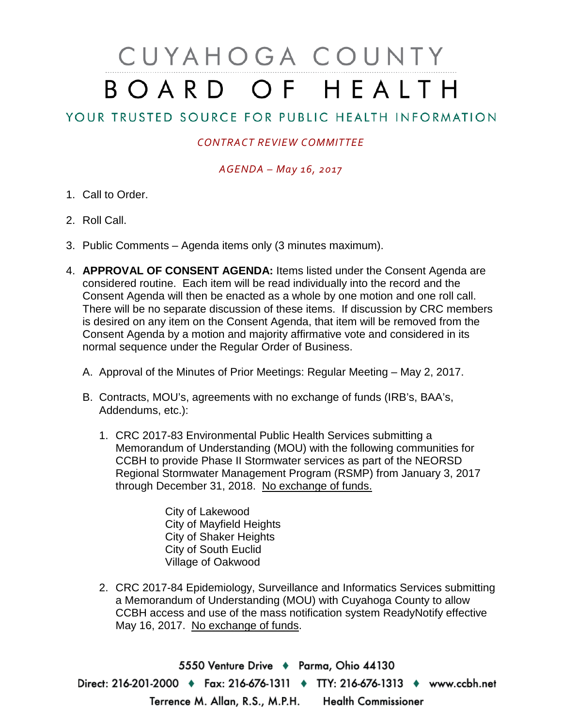# CUYAHOGA COUNTY BOARD OF HEALTH

## YOUR TRUSTED SOURCE FOR PUBLIC HEALTH INFORMATION

### *CONTRACT REVIEW COMMITTEE*

#### *AGENDA – May 16, 2017*

- 1. Call to Order.
- 2. Roll Call.
- 3. Public Comments Agenda items only (3 minutes maximum).
- 4. **APPROVAL OF CONSENT AGENDA:** Items listed under the Consent Agenda are considered routine. Each item will be read individually into the record and the Consent Agenda will then be enacted as a whole by one motion and one roll call. There will be no separate discussion of these items. If discussion by CRC members is desired on any item on the Consent Agenda, that item will be removed from the Consent Agenda by a motion and majority affirmative vote and considered in its normal sequence under the Regular Order of Business.
	- A. Approval of the Minutes of Prior Meetings: Regular Meeting May 2, 2017.
	- B. Contracts, MOU's, agreements with no exchange of funds (IRB's, BAA's, Addendums, etc.):
		- 1. CRC 2017-83 Environmental Public Health Services submitting a Memorandum of Understanding (MOU) with the following communities for CCBH to provide Phase II Stormwater services as part of the NEORSD Regional Stormwater Management Program (RSMP) from January 3, 2017 through December 31, 2018. No exchange of funds.

City of Lakewood City of Mayfield Heights City of Shaker Heights City of South Euclid Village of Oakwood

2. CRC 2017-84 Epidemiology, Surveillance and Informatics Services submitting a Memorandum of Understanding (MOU) with Cuyahoga County to allow CCBH access and use of the mass notification system ReadyNotify effective May 16, 2017. No exchange of funds.

5550 Venture Drive + Parma, Ohio 44130 Direct: 216-201-2000 • Fax: 216-676-1311 • TTY: 216-676-1313 • www.ccbh.net Terrence M. Allan, R.S., M.P.H. Health Commissioner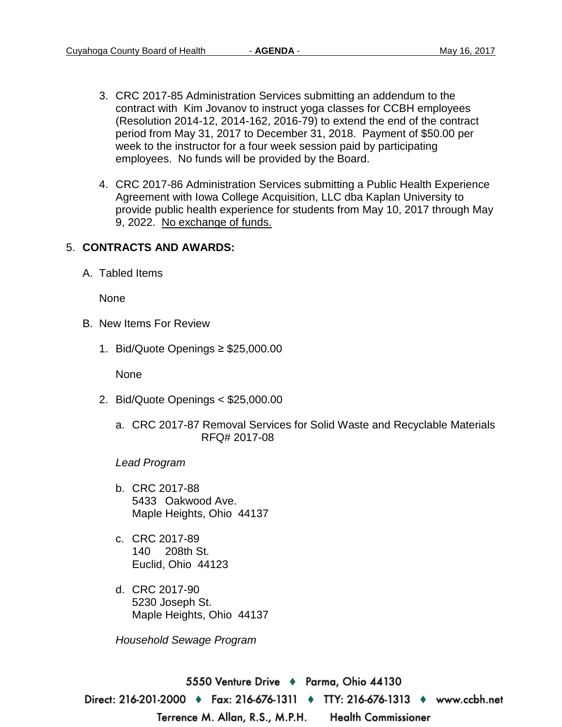- 3. CRC 2017-85 Administration Services submitting an addendum to the contract with Kim Jovanov to instruct yoga classes for CCBH employees (Resolution 2014-12, 2014-162, 2016-79) to extend the end of the contract period from May 31, 2017 to December 31, 2018. Payment of \$50.00 per week to the instructor for a four week session paid by participating employees. No funds will be provided by the Board.
- 4. CRC 2017-86 Administration Services submitting a Public Health Experience Agreement with Iowa College Acquisition, LLC dba Kaplan University to provide public health experience for students from May 10, 2017 through May 9, 2022. No exchange of funds.

#### 5. **CONTRACTS AND AWARDS:**

A. Tabled Items

None

- B. New Items For Review
	- 1. Bid/Quote Openings ≥ \$25,000.00

None

- 2. Bid/Quote Openings < \$25,000.00
	- a. CRC 2017-87 Removal Services for Solid Waste and Recyclable Materials RFQ# 2017-08

*Lead Program*

- b. CRC 2017-88 5433 Oakwood Ave. Maple Heights, Ohio 44137
- c. CRC 2017-89 140 208th St. Euclid, Ohio 44123
- d. CRC 2017-90 5230 Joseph St. Maple Heights, Ohio 44137

*Household Sewage Program*

5550 Venture Drive + Parma, Ohio 44130 Direct: 216-201-2000 • Fax: 216-676-1311 • TTY: 216-676-1313 • www.ccbh.net Terrence M. Allan, R.S., M.P.H. **Health Commissioner**